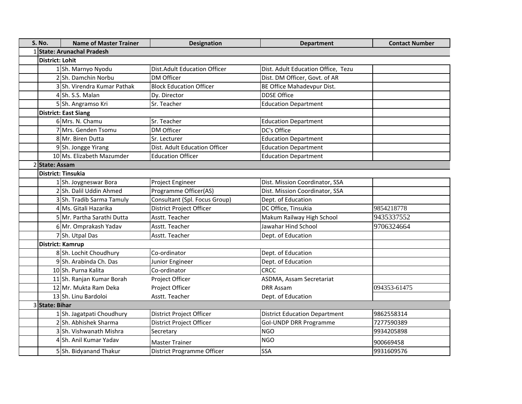| <b>S. No.</b>  | <b>Name of Master Trainer</b> | <b>Designation</b>             | <b>Department</b>                    | <b>Contact Number</b> |
|----------------|-------------------------------|--------------------------------|--------------------------------------|-----------------------|
|                | 1 State: Arunachal Pradesh    |                                |                                      |                       |
|                | <b>District: Lohit</b>        |                                |                                      |                       |
|                | 1 Sh. Marnyo Nyodu            | Dist.Adult Education Officer   | Dist. Adult Education Office, Tezu   |                       |
|                | 2Sh. Damchin Norbu            | <b>DM Officer</b>              | Dist. DM Officer, Govt. of AR        |                       |
|                | 3 Sh. Virendra Kumar Pathak   | <b>Block Education Officer</b> | BE Office Mahadevpur Dist.           |                       |
|                | 4 Sh. S.S. Malan              | Dy. Director                   | <b>DDSE Office</b>                   |                       |
|                | 5 Sh. Angramso Kri            | Sr. Teacher                    | <b>Education Department</b>          |                       |
|                | <b>District: East Siang</b>   |                                |                                      |                       |
|                | 6 Mrs. N. Chamu               | Sr. Teacher                    | <b>Education Department</b>          |                       |
|                | 7 Mrs. Genden Tsomu           | DM Officer                     | DC's Office                          |                       |
|                | 8 Mr. Biren Dutta             | Sr. Lecturer                   | <b>Education Department</b>          |                       |
|                | 9 Sh. Jongge Yirang           | Dist. Adult Education Officer  | <b>Education Department</b>          |                       |
|                | 10 Ms. Elizabeth Mazumder     | <b>Education Officer</b>       | <b>Education Department</b>          |                       |
| 2 State: Assam |                               |                                |                                      |                       |
|                | <b>District: Tinsukia</b>     |                                |                                      |                       |
|                | 1Sh. Joygneswar Bora          | Project Engineer               | Dist. Mission Coordinator, SSA       |                       |
|                | 2 Sh. Dalil Uddin Ahmed       | Programme Officer(AS)          | Dist. Mission Coordinator, SSA       |                       |
|                | 3 Sh. Tradib Sarma Tamuly     | Consultant (Spl. Focus Group)  | Dept. of Education                   |                       |
|                | 4 Ms. Gitali Hazarika         | District Project Officer       | DC Office, Tinsukia                  | 9854218778            |
|                | 5 Mr. Partha Sarathi Dutta    | Asstt. Teacher                 | Makum Railway High School            | 9435337552            |
|                | 6 Mr. Omprakash Yadav         | Asstt. Teacher                 | Jawahar Hind School                  | 9706324664            |
|                | 7 Sh. Utpal Das               | Asstt. Teacher                 | Dept. of Education                   |                       |
|                | <b>District: Kamrup</b>       |                                |                                      |                       |
|                | 8 Sh. Lochit Choudhury        | Co-ordinator                   | Dept. of Education                   |                       |
|                | 9Sh. Arabinda Ch. Das         | Junior Engineer                | Dept. of Education                   |                       |
|                | 10Sh. Purna Kalita            | Co-ordinator                   | <b>CRCC</b>                          |                       |
|                | 11 Sh. Ranjan Kumar Borah     | Project Officer                | ASDMA, Assam Secretariat             |                       |
|                | 12 Mr. Mukta Ram Deka         | Project Officer                | <b>DRR</b> Assam                     | 094353-61475          |
|                | 13 Sh. Linu Bardoloi          | Asstt. Teacher                 | Dept. of Education                   |                       |
| 3 State: Bihar |                               |                                |                                      |                       |
|                | 1 Sh. Jagatpati Choudhury     | District Project Officer       | <b>District Education Department</b> | 9862558314            |
|                | 2 Sh. Abhishek Sharma         | District Project Officer       | Gol-UNDP DRR Programme               | 7277590389            |
|                | 3Sh. Vishwanath Mishra        | Secretary                      | <b>NGO</b>                           | 9934205898            |
|                | 4 Sh. Anil Kumar Yadav        | <b>Master Trainer</b>          | <b>NGO</b>                           | 900669458             |
|                | 5 Sh. Bidyanand Thakur        | District Programme Officer     | <b>SSA</b>                           | 9931609576            |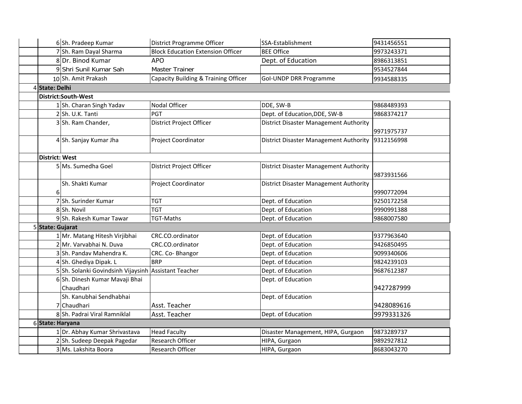| 6 Sh. Pradeep Kumar                         | District Programme Officer               | SSA-Establishment                             | 9431456551 |
|---------------------------------------------|------------------------------------------|-----------------------------------------------|------------|
| 7 Sh. Ram Dayal Sharma                      | <b>Block Education Extension Officer</b> | <b>BEE Office</b>                             | 9973243371 |
| 8Dr. Binod Kumar                            | <b>APO</b>                               | Dept. of Education                            | 8986313851 |
| 9 Shri Sunil Kumar Sah                      | Master Trainer                           |                                               | 9534527844 |
| 10Sh. Amit Prakash                          | Capacity Building & Training Officer     | <b>Gol-UNDP DRR Programme</b>                 | 9934588335 |
| 4 State: Delhi                              |                                          |                                               |            |
| <b>District:South-West</b>                  |                                          |                                               |            |
| 1 Sh. Charan Singh Yadav                    | <b>Nodal Officer</b>                     | DDE, SW-B                                     | 9868489393 |
| 2 Sh. U.K. Tanti                            | PGT                                      | Dept. of Education, DDE, SW-B                 | 9868374217 |
| 3 Sh. Ram Chander,                          | District Project Officer                 | District Disaster Management Authority        | 9971975737 |
| 4 Sh. Sanjay Kumar Jha                      | Project Coordinator                      | District Disaster Management Authority        | 9312156998 |
| <b>District: West</b>                       |                                          |                                               |            |
| 5 Ms. Sumedha Goel                          | District Project Officer                 | <b>District Disaster Management Authority</b> | 9873931566 |
| Sh. Shakti Kumar<br>6                       | Project Coordinator                      | <b>District Disaster Management Authority</b> | 9990772094 |
| 7 Sh. Surinder Kumar                        | <b>TGT</b>                               | Dept. of Education                            | 9250172258 |
| 8 Sh. Novil                                 | <b>TGT</b>                               | Dept. of Education                            | 9990991388 |
| 9 Sh. Rakesh Kumar Tawar                    | <b>TGT-Maths</b>                         | Dept. of Education                            | 9868007580 |
| 5 State: Gujarat                            |                                          |                                               |            |
| 1 Mr. Matang Hitesh Virjibhai               | CRC.CO.ordinator                         | Dept. of Education                            | 9377963640 |
| 2 Mr. Varvabhai N. Duva                     | CRC.CO.ordinator                         | Dept. of Education                            | 9426850495 |
| 3 Sh. Pandav Mahendra K.                    | CRC. Co- Bhangor                         | Dept. of Education                            | 9099340606 |
| 4 Sh. Ghediya Dipak. L                      | <b>BRP</b>                               | Dept. of Education                            | 9824239103 |
| 5 Sh. Solanki Govindsinh Vijaysinh          | <b>Assistant Teacher</b>                 | Dept. of Education                            | 9687612387 |
| 6 Sh. Dinesh Kumar Mavaji Bhai<br>Chaudhari |                                          | Dept. of Education                            | 9427287999 |
| Sh. Kanubhai Sendhabhai                     |                                          | Dept. of Education                            |            |
| 7 Chaudhari                                 | Asst. Teacher                            |                                               | 9428089616 |
| 8 Sh. Padrai Viral Ramniklal                | Asst. Teacher                            | Dept. of Education                            | 9979331326 |
| 6 State: Haryana                            |                                          |                                               |            |
| 1 Dr. Abhay Kumar Shrivastava               | <b>Head Faculty</b>                      | Disaster Management, HIPA, Gurgaon            | 9873289737 |
| 2 Sh. Sudeep Deepak Pagedar                 | Research Officer                         | HIPA, Gurgaon                                 | 9892927812 |
| 3 Ms. Lakshita Boora                        | Research Officer                         | HIPA, Gurgaon                                 | 8683043270 |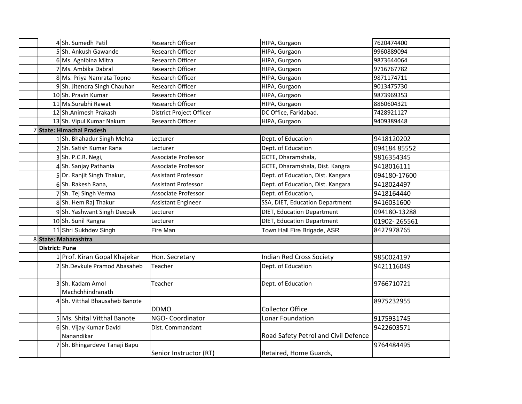| 4 Sh. Sumedh Patil             | Research Officer         | HIPA, Gurgaon                        | 7620474400   |
|--------------------------------|--------------------------|--------------------------------------|--------------|
| 5 Sh. Ankush Gawande           | Research Officer         | HIPA, Gurgaon                        | 9960889094   |
| 6 Ms. Agnibina Mitra           | Research Officer         | HIPA, Gurgaon                        | 9873644064   |
| 7 Ms. Ambika Dabral            | Research Officer         | HIPA, Gurgaon                        | 9716767782   |
| 8 Ms. Priya Namrata Topno      | Research Officer         | HIPA, Gurgaon                        | 9871174711   |
| 9 Sh. Jitendra Singh Chauhan   | Research Officer         | HIPA, Gurgaon                        | 9013475730   |
| 10Sh. Pravin Kumar             | Research Officer         | HIPA, Gurgaon                        | 9873969353   |
| 11 Ms.Surabhi Rawat            | Research Officer         | HIPA, Gurgaon                        | 8860604321   |
| 12 Sh.Animesh Prakash          | District Project Officer | DC Office, Faridabad.                | 7428921127   |
| 13 Sh. Vipul Kumar Nakum       | Research Officer         | HIPA, Gurgaon                        | 9409389448   |
| 7 State: Himachal Pradesh      |                          |                                      |              |
| 1 Sh. Bhahadur Singh Mehta     | Lecturer                 | Dept. of Education                   | 9418120202   |
| 2 Sh. Satish Kumar Rana        | Lecturer                 | Dept. of Education                   | 094184 85552 |
| 3 Sh. P.C.R. Negi,             | Associate Professor      | GCTE, Dharamshala,                   | 9816354345   |
| 4 Sh. Sanjay Pathania          | Associate Professor      | GCTE, Dharamshala, Dist. Kangra      | 9418016111   |
| 5 Dr. Ranjit Singh Thakur,     | Assistant Professor      | Dept. of Education, Dist. Kangara    | 094180-17600 |
| 6 Sh. Rakesh Rana,             | Assistant Professor      | Dept. of Education, Dist. Kangara    | 9418024497   |
| 7 Sh. Tej Singh Verma          | Associate Professor      | Dept. of Education,                  | 9418164440   |
| 8 Sh. Hem Raj Thakur           | Assistant Engineer       | SSA, DIET, Education Department      | 9416031600   |
| 9 Sh. Yashwant Singh Deepak    | Lecturer                 | <b>DIET, Education Department</b>    | 094180-13288 |
| 10 Sh. Sunil Rangra            | Lecturer                 | <b>DIET, Education Department</b>    | 01902-265561 |
| 11 Shri Sukhdev Singh          | Fire Man                 | Town Hall Fire Brigade, ASR          | 8427978765   |
| 8 State: Maharashtra           |                          |                                      |              |
| <b>District: Pune</b>          |                          |                                      |              |
| 1 Prof. Kiran Gopal Khajekar   | Hon. Secretary           | Indian Red Cross Society             | 9850024197   |
| 2 Sh.Devkule Pramod Abasaheb   | Teacher                  | Dept. of Education                   | 9421116049   |
|                                |                          |                                      |              |
| 3 Sh. Kadam Amol               | Teacher                  | Dept. of Education                   | 9766710721   |
| Machchhindranath               |                          |                                      |              |
| 4 Sh. Vitthal Bhausaheb Banote |                          |                                      | 8975232955   |
|                                | <b>DDMO</b>              | <b>Collector Office</b>              |              |
| 5 Ms. Shital Vitthal Banote    | NGO-Coordinator          | Lonar Foundation                     | 9175931745   |
| 6 Sh. Vijay Kumar David        | Dist. Commandant         |                                      | 9422603571   |
| Nanandikar                     |                          | Road Safety Petrol and Civil Defence |              |
| 7 Sh. Bhingardeve Tanaji Bapu  |                          |                                      | 9764484495   |
|                                | Senior Instructor (RT)   | Retaired, Home Guards,               |              |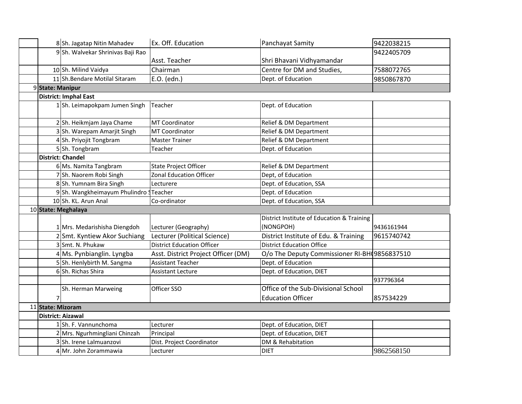|                   | 8 Sh. Jagatap Nitin Mahadev           | Ex. Off. Education                  | Panchayat Samity                             | 9422038215 |
|-------------------|---------------------------------------|-------------------------------------|----------------------------------------------|------------|
|                   | 9Sh. Walvekar Shrinivas Baji Rao      |                                     |                                              | 9422405709 |
|                   |                                       | Asst. Teacher                       | Shri Bhavani Vidhyamandar                    |            |
|                   | 10 Sh. Milind Vaidya                  | Chairman                            | Centre for DM and Studies,                   | 7588072765 |
|                   | 11 Sh.Bendare Motilal Sitaram         | E.O. (edn.)                         | Dept. of Education                           | 9850867870 |
| 9 State: Manipur  |                                       |                                     |                                              |            |
|                   | <b>District: Imphal East</b>          |                                     |                                              |            |
|                   | 1Sh. Leimapokpam Jumen Singh          | Teacher                             | Dept. of Education                           |            |
|                   | 2 Sh. Heikmjam Jaya Chame             | MT Coordinator                      | Relief & DM Department                       |            |
|                   | 3 Sh. Warepam Amarjit Singh           | <b>MT Coordinator</b>               | Relief & DM Department                       |            |
|                   | 4 Sh. Priyojit Tongbram               | <b>Master Trainer</b>               | Relief & DM Department                       |            |
|                   | 5 Sh. Tongbram                        | Teacher                             | Dept. of Education                           |            |
|                   | <b>District: Chandel</b>              |                                     |                                              |            |
|                   | 6 Ms. Namita Tangbram                 | <b>State Project Officer</b>        | Relief & DM Department                       |            |
|                   | 7 Sh. Naorem Robi Singh               | <b>Zonal Education Officer</b>      | Dept, of Education                           |            |
|                   | 8 Sh. Yumnam Bira Singh               | Lecturere                           | Dept. of Education, SSA                      |            |
|                   | 9Sh. Wangkheimayum Phulindro STeacher |                                     | Dept. of Education                           |            |
|                   | 10Sh. KL. Arun Anal                   | Co-ordinator                        | Dept. of Education, SSA                      |            |
|                   | 10 State: Meghalaya                   |                                     |                                              |            |
|                   |                                       |                                     | District Institute of Education & Training   |            |
|                   | 1 Mrs. Medarishisha Diengdoh          | Lecturer (Geography)                | (NONGPOH)                                    | 9436161944 |
|                   | 2 Smt. Kyntiew Akor Suchiang          | Lecturer (Political Science)        | District Institute of Edu. & Training        | 9615740742 |
|                   | 3 Smt. N. Phukaw                      | <b>District Education Officer</b>   | <b>District Education Office</b>             |            |
|                   | 4 Ms. Pynbianglin. Lyngba             | Asst. District Project Officer (DM) | O/o The Deputy Commissioner RI-BH 9856837510 |            |
|                   | 5 Sh. Henlybirth M. Sangma            | <b>Assistant Teacher</b>            | Dept. of Education                           |            |
|                   | 6Sh. Richas Shira                     | <b>Assistant Lecture</b>            | Dept. of Education, DIET                     |            |
|                   |                                       |                                     |                                              | 937796364  |
|                   | Sh. Herman Marweing                   | Officer SSO                         | Office of the Sub-Divisional School          |            |
|                   |                                       |                                     | <b>Education Officer</b>                     | 857534229  |
| 11 State: Mizoram |                                       |                                     |                                              |            |
|                   | <b>District: Aizawal</b>              |                                     |                                              |            |
|                   | 1 Sh. F. Vannunchoma                  | Lecturer                            | Dept. of Education, DIET                     |            |
|                   | 2 Mrs. Ngurhmingliani Chinzah         | Principal                           | Dept. of Education, DIET                     |            |
|                   | 3Sh. Irene Lalmuanzovi                | Dist. Project Coordinator           | DM & Rehabitation                            |            |
|                   | 4 Mr. John Zorammawia                 | Lecturer                            | <b>DIET</b>                                  | 9862568150 |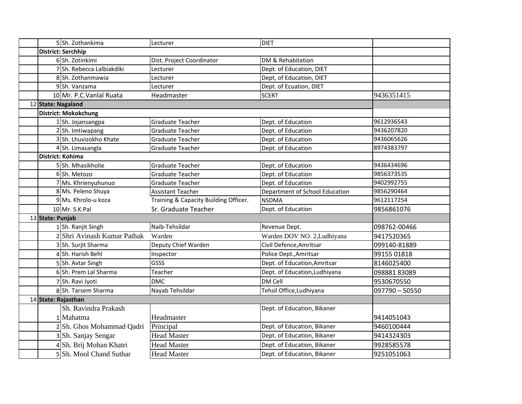| 5 Sh. Zothankima            | Lecturer                              | <b>DIET</b>                    |                  |
|-----------------------------|---------------------------------------|--------------------------------|------------------|
| <b>District: Serchhip</b>   |                                       |                                |                  |
| 6Sh. Zotinkimi              | Dist. Project Coordinator             | DM & Rehabitation              |                  |
| 7 Sh. Rebecca Lalbiakdiki   | Lecturer                              | Dept. of Education, DIET       |                  |
| 8 Sh. Zothanmawia           | Lecturer                              | Dept, of Education, DIET       |                  |
| 9 Sh. Vanzama               | Lecturer                              | Dept. of Ecuation, DIET        |                  |
| 10 Mr. P.C. Vanial Ruata    | Headmaster                            | <b>SCERT</b>                   | 9436351415       |
| 12 State: Nagaland          |                                       |                                |                  |
| <b>District: Mokokchung</b> |                                       |                                |                  |
| 1Sh. Jojansangpa            | <b>Graduate Teacher</b>               | Dept. of Education             | 9612936543       |
| 2 Sh. Imtiwapang            | <b>Graduate Teacher</b>               | Dept. of Education             | 9436207820       |
| 3 Sh. Lhuvizokho Khate      | Graduate Teacher                      | Dept. of Education             | 9436065626       |
| 4 Sh. Limasangla            | <b>Graduate Teacher</b>               | Dept. of Education             | 8974383797       |
| District: Kohima            |                                       |                                |                  |
| 5 Sh. Mhasikholie           | <b>Graduate Teacher</b>               | Dept. of Education             | 9436434696       |
| 6 Sh. Metozo                | <b>Graduate Teacher</b>               | Dept. of Education             | 9856373535       |
| 7 Ms. Khrienyuhunuo         | <b>Graduate Teacher</b>               | Dept. of Education             | 9402992755       |
| 8 Ms. Peleno Shuya          | <b>Assistant Teacher</b>              | Department of School Education | 9856290464       |
| 9 Ms. Khrolo-u koza         | Training & Capacity Building Officer. | <b>NSDMA</b>                   | 9612117254       |
| 10 Mr. S.K.Pal              | Sr. Graduate Teacher                  | Dept. of Education             | 9856861076       |
| 13 State: Punjab            |                                       |                                |                  |
| 1Sh. Ranjit Singh           | Naib-Tehsildar                        | Revenue Dept.                  | 098762-00466     |
| 2 Shri Avinash Kumar Pathak | Warden                                | Warden DOV NO. 2, Ludhiyana    | 9417520365       |
| 3 Sh. Surjit Sharma         | Deputy Chief Warden                   | Civil Defence, Amritsar        | 099140-81889     |
| 4Sh. Harish Behl            | Inspector                             | Police Dept., Amritsar         | 99155 01818      |
| 5 Sh. Avtar Singh           | <b>GSSS</b>                           | Dept. of Education, Amritsar   | 8146025400       |
| 6 Sh. Prem Lal Sharma       | Teacher                               | Dept. of Education, Ludhiyana  | 09888183089      |
| 7 Sh. Ravi Jyoti            | <b>DMC</b>                            | DM Cell                        | 9530670550       |
| 8 Sh. Tarsem Sharma         | Nayab Tehsildar                       | Tehsil Office, Ludhiyana       | $097790 - 50550$ |
| 14 State: Rajasthan         |                                       |                                |                  |
| Sh. Ravindra Prakash        |                                       | Dept. of Education, Bikaner    |                  |
| 1 Mahatma                   | Headmaster                            |                                | 9414051043       |
| 2 Sh. Ghos Mohammad Qadri   | Principal                             | Dept. of Education, Bikaner    | 9460100444       |
| 3 Sh. Sanjay Sengar         | <b>Head Master</b>                    | Dept. of Education, Bikaner    | 9414324303       |
| 4 Sh. Brij Mohan Khatri     | <b>Head Master</b>                    | Dept. of Education, Bikaner    | 9928585578       |
| 5 Sh. Mool Chand Suthar     | <b>Head Master</b>                    | Dept. of Education, Bikaner    | 9251051063       |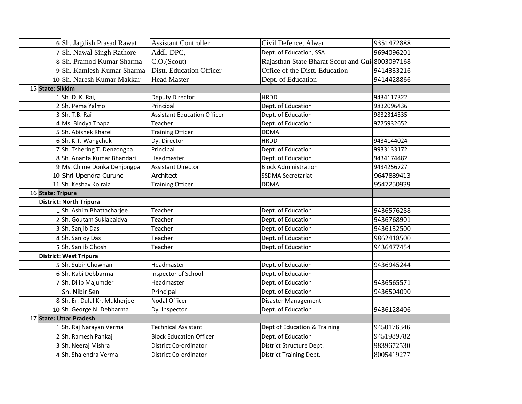| 6 Sh. Jagdish Prasad Rawat     | <b>Assistant Controller</b>        | Civil Defence, Alwar                            | 9351472888 |
|--------------------------------|------------------------------------|-------------------------------------------------|------------|
| 7 Sh. Nawal Singh Rathore      | Addl. DPC,                         | Dept. of Education, SSA                         | 9694096201 |
| 8 Sh. Pramod Kumar Sharma      | C.O.(Scourt)                       | Rajasthan State Bharat Scout and Gui 8003097168 |            |
| 9 Sh. Kamlesh Kumar Sharma     | Distt. Education Officer           | Office of the Distt. Education                  | 9414333216 |
| 10 Sh. Naresh Kumar Makkar     | <b>Head Master</b>                 | Dept. of Education                              | 9414428866 |
| 15 State: Sikkim               |                                    |                                                 |            |
| 1 Sh. D. K. Rai,               | Deputy Director                    | <b>HRDD</b>                                     | 9434117322 |
| 2Sh. Pema Yalmo                | Principal                          | Dept. of Education                              | 9832096436 |
| 3 Sh. T.B. Rai                 | <b>Assistant Education Officer</b> | Dept. of Education                              | 9832314335 |
| 4 Ms. Bindya Thapa             | Teacher                            | Dept. of Education                              | 9775932652 |
| 5 Sh. Abishek Kharel           | <b>Training Officer</b>            | <b>DDMA</b>                                     |            |
| 6 Sh. K.T. Wangchuk            | Dy. Director                       | <b>HRDD</b>                                     | 9434144024 |
| 7 Sh. Tshering T. Denzongpa    | Principal                          | Dept. of Education                              | 9933133172 |
| 8 Sh. Ananta Kumar Bhandari    | Headmaster                         | Dept. of Education                              | 9434174482 |
| 9 Ms. Chime Donka Denjongpa    | <b>Assistant Director</b>          | <b>Block Administration</b>                     | 9434256727 |
| 10 Shri Upendra Curunc         | Architect                          | <b>SSDMA Secretariat</b>                        | 9647889413 |
| 11 Sh. Keshav Koirala          | <b>Training Officer</b>            | <b>DDMA</b>                                     | 9547250939 |
| 16 State: Tripura              |                                    |                                                 |            |
| <b>District: North Tripura</b> |                                    |                                                 |            |
| 1 Sh. Ashim Bhattacharjee      | Teacher                            | Dept. of Education                              | 9436576288 |
| 2 Sh. Goutam Suklabaidya       | Teacher                            | Dept. of Education                              | 9436768901 |
| 3 Sh. Sanjib Das               | Teacher                            | Dept. of Education                              | 9436132500 |
| 4 Sh. Sanjoy Das               | Teacher                            | Dept. of Education                              | 9862418500 |
| 5 Sh. Sanjib Ghosh             | Teacher                            | Dept. of Education                              | 9436477454 |
| <b>District: West Tripura</b>  |                                    |                                                 |            |
| 5 Sh. Subir Chowhan            | Headmaster                         | Dept. of Education                              | 9436945244 |
| 6 Sh. Rabi Debbarma            | Inspector of School                | Dept. of Education                              |            |
| 7 Sh. Dilip Majumder           | Headmaster                         | Dept. of Education                              | 9436565571 |
| Sh. Nibir Sen                  | Principal                          | Dept. of Education                              | 9436504090 |
| 8 Sh. Er. Dulal Kr. Mukherjee  | Nodal Officer                      | Disaster Management                             |            |
| 10 Sh. George N. Debbarma      | Dy. Inspector                      | Dept. of Education                              | 9436128406 |
| 17 State: Uttar Pradesh        |                                    |                                                 |            |
| 1 Sh. Raj Narayan Verma        | <b>Technical Assistant</b>         | Dept of Education & Training                    | 9450176346 |
| 2 Sh. Ramesh Pankaj            | <b>Block Education Officer</b>     | Dept. of Education                              | 9451989782 |
| 3 Sh. Neeraj Mishra            | District Co-ordinator              | District Structure Dept.                        | 9839672530 |
| 4 Sh. Shalendra Verma          | District Co-ordinator              | <b>District Training Dept.</b>                  | 8005419277 |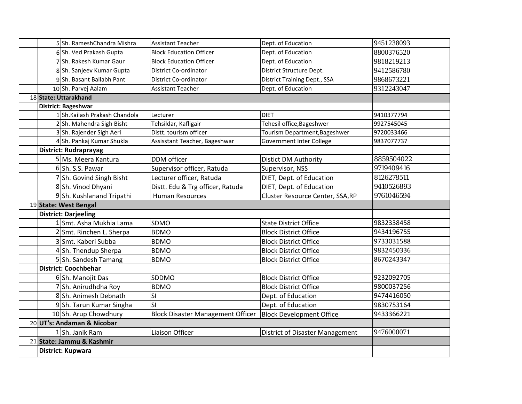| 5 Sh. RameshChandra Mishra    | <b>Assistant Teacher</b>                 | Dept. of Education                     | 9451238093 |
|-------------------------------|------------------------------------------|----------------------------------------|------------|
| 6 Sh. Ved Prakash Gupta       | <b>Block Education Officer</b>           | Dept. of Education                     | 8800376520 |
| 7 Sh. Rakesh Kumar Gaur       | <b>Block Education Officer</b>           | Dept. of Education                     | 9818219213 |
| 8 Sh. Sanjeev Kumar Gupta     | District Co-ordinator                    | District Structure Dept.               | 9412586780 |
| 9 Sh. Basant Ballabh Pant     | District Co-ordinator                    | <b>District Training Dept., SSA</b>    | 9868673221 |
| 10 Sh. Parvej Aalam           | <b>Assistant Teacher</b>                 | Dept. of Education                     | 9312243047 |
| 18 State: Uttarakhand         |                                          |                                        |            |
| District: Bageshwar           |                                          |                                        |            |
| 1 Sh.Kailash Prakash Chandola | Lecturer                                 | <b>DIET</b>                            | 9410377794 |
| 2 Sh. Mahendra Sigh Bisht     | Tehsildar, Kafligair                     | Tehesil office, Bageshwer              | 9927545045 |
| 3 Sh. Rajender Sigh Aeri      | Distt. tourism officer                   | Tourism Department, Bageshwer          | 9720033466 |
| 4 Sh. Pankaj Kumar Shukla     | Assisstant Teacher, Bageshwar            | Government Inter College               | 9837077737 |
| <b>District: Rudraprayag</b>  |                                          |                                        |            |
| 5 Ms. Meera Kantura           | DDM officer                              | <b>Distict DM Authority</b>            | 8859504022 |
| 6 Sh. S.S. Pawar              | Supervisor officer, Ratuda               | Supervisor, NSS                        | 9719409416 |
| 7 Sh. Govind Singh Bisht      | Lecturer officer, Ratuda                 | DIET, Dept. of Education               | 8126278511 |
| 8 Sh. Vinod Dhyani            | Distt. Edu & Trg officer, Ratuda         | DIET, Dept. of Education               | 9410526893 |
| 9Sh. Kushlanand Tripathi      | <b>Human Resources</b>                   | Cluster Resource Center, SSA, RP       | 9761046594 |
| 19 State: West Bengal         |                                          |                                        |            |
| <b>District: Darjeeling</b>   |                                          |                                        |            |
| 1 Smt. Asha Mukhia Lama       | SDMO                                     | <b>State District Office</b>           | 9832338458 |
| 2 Smt. Rinchen L. Sherpa      | <b>BDMO</b>                              | <b>Block District Office</b>           | 9434196755 |
| 3 Smt. Kaberi Subba           | <b>BDMO</b>                              | <b>Block District Office</b>           | 9733031588 |
| 4 Sh. Thendup Sherpa          | <b>BDMO</b>                              | <b>Block District Office</b>           | 9832450336 |
| 5 Sh. Sandesh Tamang          | <b>BDMO</b>                              | <b>Block District Office</b>           | 8670243347 |
| <b>District: Coochbehar</b>   |                                          |                                        |            |
| 6 Sh. Manojit Das             | SDDMO                                    | <b>Block District Office</b>           | 9232092705 |
| 7 Sh. Anirudhdha Roy          | <b>BDMO</b>                              | <b>Block District Office</b>           | 9800037256 |
| 8 Sh. Animesh Debnath         | SI                                       | Dept. of Education                     | 9474416050 |
| 9 Sh. Tarun Kumar Singha      | $\overline{\mathsf{S}}$                  | Dept. of Education                     | 9830753164 |
| 10 Sh. Arup Chowdhury         | <b>Block Disaster Management Officer</b> | <b>Block Development Office</b>        | 9433366221 |
| 20 UT's: Andaman & Nicobar    |                                          |                                        |            |
| 1Sh. Janik Ram                | Liaison Officer                          | <b>District of Disaster Management</b> | 9476000071 |
| 21 State: Jammu & Kashmir     |                                          |                                        |            |
| District: Kupwara             |                                          |                                        |            |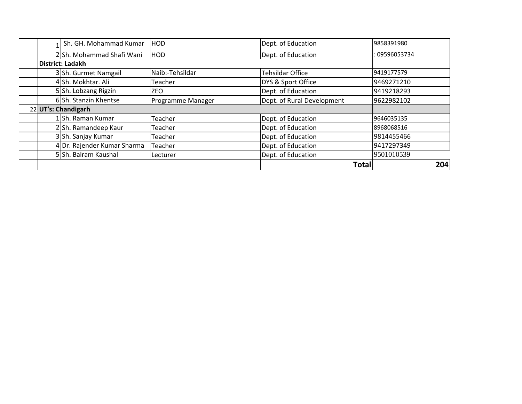| Sh. GH. Mohammad Kumar     | HOD               | Dept. of Education         | 9858391980    |
|----------------------------|-------------------|----------------------------|---------------|
| 2Sh. Mohammad Shafi Wani   | <b>HOD</b>        | Dept. of Education         | : 09596053734 |
| District: Ladakh           |                   |                            |               |
| 3 Sh. Gurmet Namgail       | Naib:-Tehsildar   | <b>Tehsildar Office</b>    | 9419177579    |
| 4 Sh. Mokhtar. Ali         | Teacher           | DYS & Sport Office         | 9469271210    |
| 5 Sh. Lobzang Rigzin       | IZEO              | Dept. of Education         | 9419218293    |
| 6 Sh. Stanzin Khentse      | Programme Manager | Dept. of Rural Development | 9622982102    |
| 22 UT's: Chandigarh        |                   |                            |               |
| 1Sh. Raman Kumar           | Teacher           | Dept. of Education         | 9646035135    |
| 2 Sh. Ramandeep Kaur       | Teacher           | Dept. of Education         | 8968068516    |
| 3 Sh. Sanjay Kumar         | Teacher           | Dept. of Education         | 9814455466    |
| 4Dr. Rajender Kumar Sharma | Teacher           | Dept. of Education         | 9417297349    |
| 5 Sh. Balram Kaushal       | Lecturer          | Dept. of Education         | 9501010539    |
|                            |                   | <b>Total</b>               | 204           |